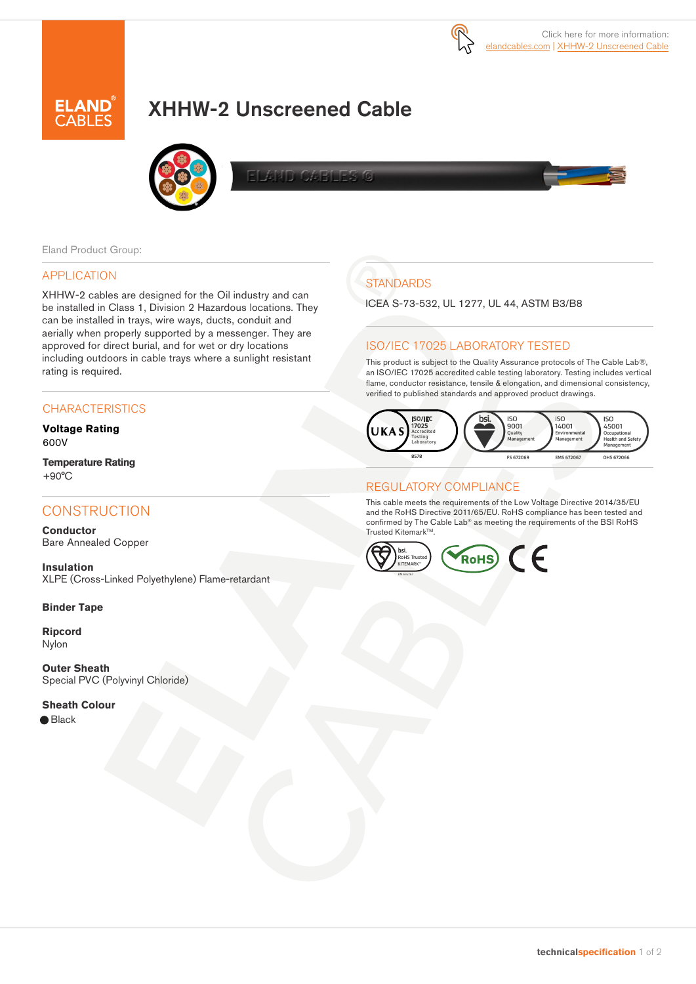

# AND

# XHHW-2 Unscreened Cable



CAF 非面

#### Eland Product Group:

#### APPLICATION

XHHW-2 cables are designed for the Oil industry and can be installed in Class 1, Division 2 Hazardous locations. They can be installed in trays, wire ways, ducts, conduit and aerially when properly supported by a messenger. They are approved for direct burial, and for wet or dry locations including outdoors in cable trays where a sunlight resistant rating is required.

#### **CHARACTERISTICS**

**Voltage Rating** 600V

**Temperature Rating** +90°C

## **CONSTRUCTION**

**Conductor** Bare Annealed Copper

**Insulation** XLPE (Cross-Linked Polyethylene) Flame-retardant

#### **Binder Tape**

**Ripcord** Nylon

**Outer Sheath** Special PVC (Polyvinyl Chloride)

#### **Sheath Colour**

● Black

# **STANDARDS**

ICEA S-73-532, UL 1277, UL 44, ASTM B3/B8

### ISO/IEC 17025 LABORATORY TESTED

This product is subject to the Quality Assurance protocols of The Cable Lab®, an ISO/IEC 17025 accredited cable testing laboratory. Testing includes vertical flame, conductor resistance, tensile & elongation, and dimensional consistency, verified to published standards and approved product drawings.



#### REGULATORY COMPLIANCE

This cable meets the requirements of the Low Voltage Directive 2014/35/EU and the RoHS Directive 2011/65/EU. RoHS compliance has been tested and confirmed by The Cable Lab® as meeting the requirements of the BSI RoHS Trusted Kitemark™.